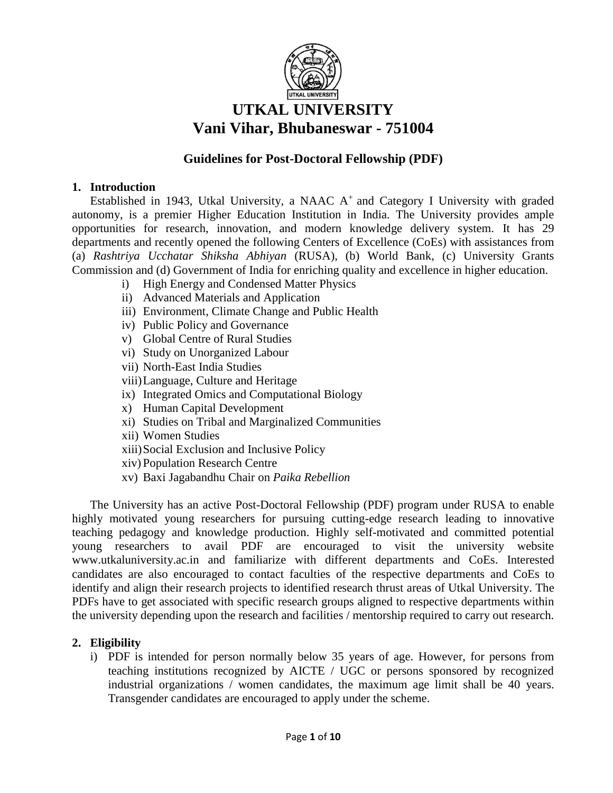

# **UTKAL UNIVERSITY Vani Vihar, Bhubaneswar - 751004**

# **Guidelines for Post-Doctoral Fellowship (PDF)**

# **1. Introduction**

Established in 1943, Utkal University, a NAAC  $A<sup>+</sup>$  and Category I University with graded autonomy, is a premier Higher Education Institution in India. The University provides ample opportunities for research, innovation, and modern knowledge delivery system. It has 29 departments and recently opened the following Centers of Excellence (CoEs) with assistances from (a) *Rashtriya Ucchatar Shiksha Abhiyan* (RUSA), (b) World Bank, (c) University Grants Commission and (d) Government of India for enriching quality and excellence in higher education.

- i) High Energy and Condensed Matter Physics
- ii) Advanced Materials and Application
- iii) Environment, Climate Change and Public Health
- iv) Public Policy and Governance
- v) Global Centre of Rural Studies
- vi) Study on Unorganized Labour
- vii) North-East India Studies
- viii)Language, Culture and Heritage
- ix) Integrated Omics and Computational Biology
- x) Human Capital Development
- xi) Studies on Tribal and Marginalized Communities
- xii) Women Studies
- xiii)Social Exclusion and Inclusive Policy
- xiv) Population Research Centre
- xv) Baxi Jagabandhu Chair on *Paika Rebellion*

The University has an active Post-Doctoral Fellowship (PDF) program under RUSA to enable highly motivated young researchers for pursuing cutting-edge research leading to innovative teaching pedagogy and knowledge production. Highly self-motivated and committed potential young researchers to avail PDF are encouraged to visit the university website [www.utkaluniversity.ac.in](http://www.utkaluniversity.ac.in/) and familiarize with different departments and CoEs. Interested candidates are also encouraged to contact faculties of the respective departments and CoEs to identify and align their research projects to identified research thrust areas of Utkal University. The PDFs have to get associated with specific research groups aligned to respective departments within the university depending upon the research and facilities / mentorship required to carry out research.

# **2. Eligibility**

i) PDF is intended for person normally below 35 years of age. However, for persons from teaching institutions recognized by AICTE / UGC or persons sponsored by recognized industrial organizations / women candidates, the maximum age limit shall be 40 years. Transgender candidates are encouraged to apply under the scheme.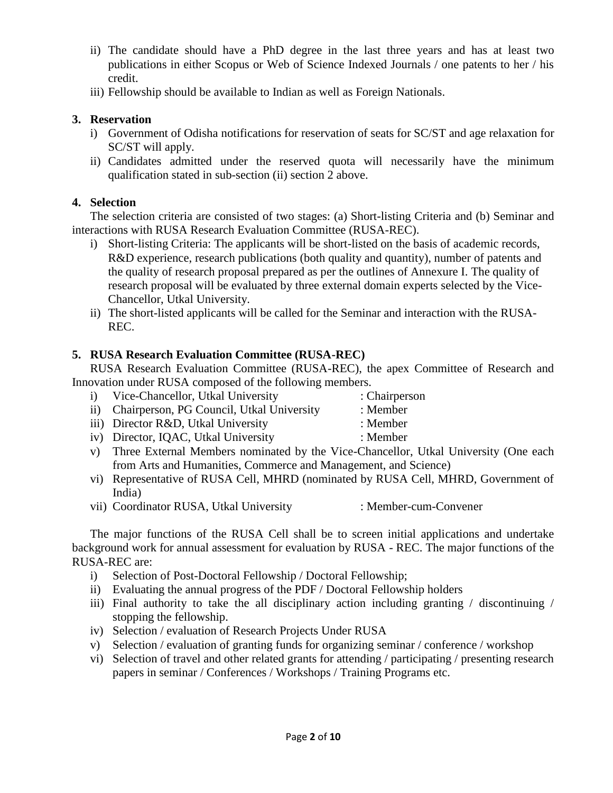- ii) The candidate should have a PhD degree in the last three years and has at least two publications in either Scopus or Web of Science Indexed Journals / one patents to her / his credit.
- iii) Fellowship should be available to Indian as well as Foreign Nationals.

# **3. Reservation**

- i) Government of Odisha notifications for reservation of seats for SC/ST and age relaxation for SC/ST will apply.
- ii) Candidates admitted under the reserved quota will necessarily have the minimum qualification stated in sub-section (ii) section 2 above.

# **4. Selection**

The selection criteria are consisted of two stages: (a) Short-listing Criteria and (b) Seminar and interactions with RUSA Research Evaluation Committee (RUSA-REC).

- i) Short-listing Criteria: The applicants will be short-listed on the basis of academic records, R&D experience, research publications (both quality and quantity), number of patents and the quality of research proposal prepared as per the outlines of Annexure I. The quality of research proposal will be evaluated by three external domain experts selected by the Vice-Chancellor, Utkal University.
- ii) The short-listed applicants will be called for the Seminar and interaction with the RUSA-REC.

# **5. RUSA Research Evaluation Committee (RUSA-REC)**

RUSA Research Evaluation Committee (RUSA-REC), the apex Committee of Research and Innovation under RUSA composed of the following members.

- i) Vice-Chancellor, Utkal University : Chairperson
	- ii) Chairperson, PG Council, Utkal University : Member
- iii) Director R&D, Utkal University : Member
- iv) Director, IQAC, Utkal University : Member
- v) Three External Members nominated by the Vice-Chancellor, Utkal University (One each from Arts and Humanities, Commerce and Management, and Science)
- vi) Representative of RUSA Cell, MHRD (nominated by RUSA Cell, MHRD, Government of India)
- vii) Coordinator RUSA, Utkal University : Member-cum-Convener

The major functions of the RUSA Cell shall be to screen initial applications and undertake background work for annual assessment for evaluation by RUSA - REC. The major functions of the RUSA-REC are:

- i) Selection of Post-Doctoral Fellowship / Doctoral Fellowship;
- ii) Evaluating the annual progress of the PDF / Doctoral Fellowship holders
- iii) Final authority to take the all disciplinary action including granting / discontinuing / stopping the fellowship.
- iv) Selection / evaluation of Research Projects Under RUSA
- v) Selection / evaluation of granting funds for organizing seminar / conference / workshop
- vi) Selection of travel and other related grants for attending / participating / presenting research papers in seminar / Conferences / Workshops / Training Programs etc.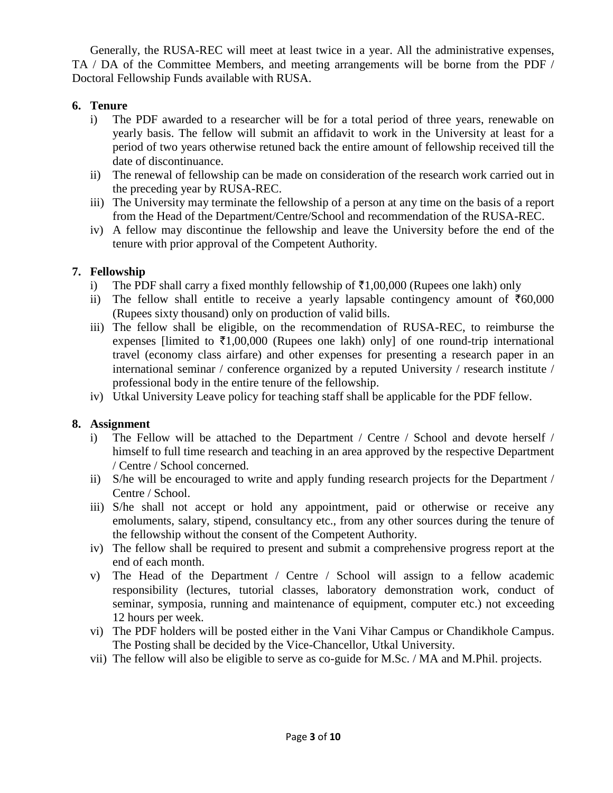Generally, the RUSA-REC will meet at least twice in a year. All the administrative expenses, TA / DA of the Committee Members, and meeting arrangements will be borne from the PDF / Doctoral Fellowship Funds available with RUSA.

# **6. Tenure**

- i) The PDF awarded to a researcher will be for a total period of three years, renewable on yearly basis. The fellow will submit an affidavit to work in the University at least for a period of two years otherwise retuned back the entire amount of fellowship received till the date of discontinuance.
- ii) The renewal of fellowship can be made on consideration of the research work carried out in the preceding year by RUSA-REC.
- iii) The University may terminate the fellowship of a person at any time on the basis of a report from the Head of the Department/Centre/School and recommendation of the RUSA-REC.
- iv) A fellow may discontinue the fellowship and leave the University before the end of the tenure with prior approval of the Competent Authority.

# **7. Fellowship**

- i) The PDF shall carry a fixed monthly fellowship of  $\bar{\tau}1,00,000$  (Rupees one lakh) only
- ii) The fellow shall entitle to receive a yearly lapsable contingency amount of  $\overline{660,000}$ (Rupees sixty thousand) only on production of valid bills.
- iii) The fellow shall be eligible, on the recommendation of RUSA-REC, to reimburse the expenses [limited to  $\bar{\tau}1,00,000$  (Rupees one lakh) only] of one round-trip international travel (economy class airfare) and other expenses for presenting a research paper in an international seminar / conference organized by a reputed University / research institute / professional body in the entire tenure of the fellowship.
- iv) Utkal University Leave policy for teaching staff shall be applicable for the PDF fellow.

# **8. Assignment**

- i) The Fellow will be attached to the Department / Centre / School and devote herself / himself to full time research and teaching in an area approved by the respective Department / Centre / School concerned.
- ii) S/he will be encouraged to write and apply funding research projects for the Department / Centre / School.
- iii) S/he shall not accept or hold any appointment, paid or otherwise or receive any emoluments, salary, stipend, consultancy etc., from any other sources during the tenure of the fellowship without the consent of the Competent Authority.
- iv) The fellow shall be required to present and submit a comprehensive progress report at the end of each month.
- v) The Head of the Department / Centre / School will assign to a fellow academic responsibility (lectures, tutorial classes, laboratory demonstration work, conduct of seminar, symposia, running and maintenance of equipment, computer etc.) not exceeding 12 hours per week.
- vi) The PDF holders will be posted either in the Vani Vihar Campus or Chandikhole Campus. The Posting shall be decided by the Vice-Chancellor, Utkal University.
- vii) The fellow will also be eligible to serve as co-guide for M.Sc. / MA and M.Phil. projects.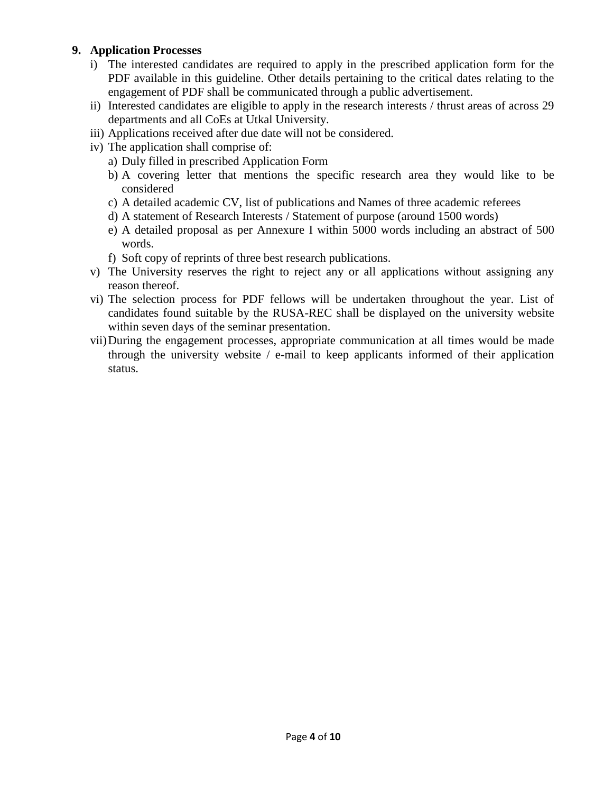# **9. Application Processes**

- i) The interested candidates are required to apply in the prescribed application form for the PDF available in this guideline. Other details pertaining to the critical dates relating to the engagement of PDF shall be communicated through a public advertisement.
- ii) Interested candidates are eligible to apply in the research interests / thrust areas of across 29 departments and all CoEs at Utkal University.
- iii) Applications received after due date will not be considered.
- iv) The application shall comprise of:
	- a) Duly filled in prescribed Application Form
	- b) A covering letter that mentions the specific research area they would like to be considered
	- c) A detailed academic CV, list of publications and Names of three academic referees
	- d) A statement of Research Interests / Statement of purpose (around 1500 words)
	- e) A detailed proposal as per Annexure I within 5000 words including an abstract of 500 words.
	- f) Soft copy of reprints of three best research publications.
- v) The University reserves the right to reject any or all applications without assigning any reason thereof.
- vi) The selection process for PDF fellows will be undertaken throughout the year. List of candidates found suitable by the RUSA-REC shall be displayed on the university website within seven days of the seminar presentation.
- vii)During the engagement processes, appropriate communication at all times would be made through the university website / e-mail to keep applicants informed of their application status.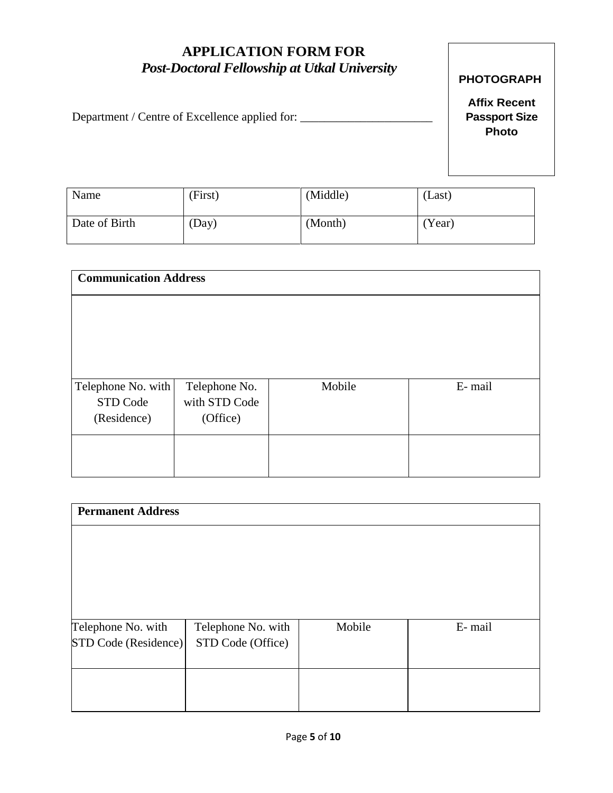# **APPLICATION FORM FOR**  *Post-Doctoral Fellowship at Utkal University*

# Department / Centre of Excellence applied for: \_\_\_\_\_\_\_\_\_\_\_\_\_\_\_\_\_\_\_\_\_\_\_\_\_\_\_\_\_\_\_\_\_

# **PHOTOGRAPH**

**Affix Recent Passport Size Photo**

| Name          | (First) | (Middle) | (Last) |
|---------------|---------|----------|--------|
| Date of Birth | (Day)   | (Month)  | Year)  |

| <b>Communication Address</b> |               |        |        |
|------------------------------|---------------|--------|--------|
|                              |               |        |        |
|                              |               |        |        |
|                              |               |        |        |
|                              |               |        |        |
| Telephone No. with           | Telephone No. | Mobile | E-mail |
| STD Code                     | with STD Code |        |        |
| (Residence)                  | (Office)      |        |        |
|                              |               |        |        |
|                              |               |        |        |
|                              |               |        |        |

| <b>Permanent Address</b>                  |        |        |  |  |
|-------------------------------------------|--------|--------|--|--|
|                                           |        |        |  |  |
|                                           |        |        |  |  |
|                                           |        |        |  |  |
|                                           |        |        |  |  |
|                                           |        |        |  |  |
| Telephone No. with                        | Mobile | E-mail |  |  |
| STD Code (Residence)<br>STD Code (Office) |        |        |  |  |
|                                           |        |        |  |  |
|                                           |        |        |  |  |
|                                           |        |        |  |  |
|                                           |        |        |  |  |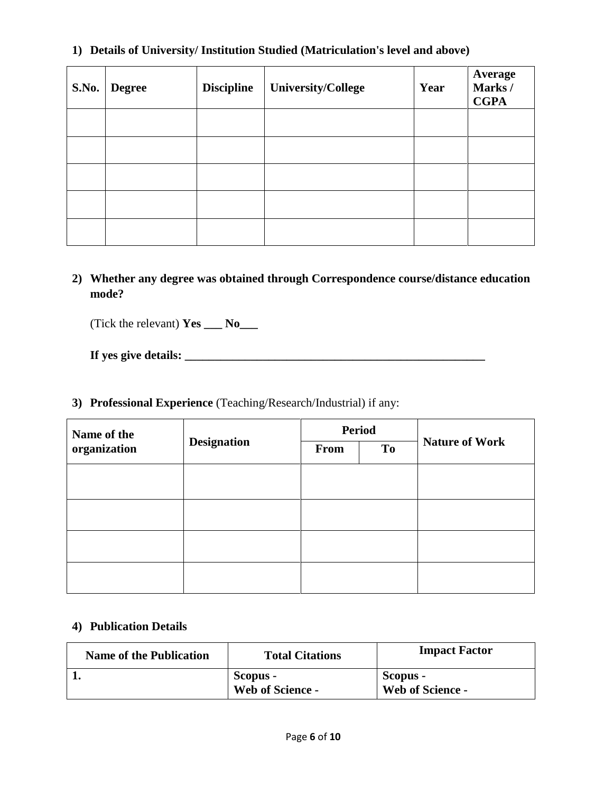# **1) Details of University/ Institution Studied (Matriculation's level and above)**

| <b>S.No.</b> | <b>Degree</b> | <b>Discipline</b> | <b>University/College</b> | Year | <b>Average</b><br>Marks/<br><b>CGPA</b> |
|--------------|---------------|-------------------|---------------------------|------|-----------------------------------------|
|              |               |                   |                           |      |                                         |
|              |               |                   |                           |      |                                         |
|              |               |                   |                           |      |                                         |
|              |               |                   |                           |      |                                         |
|              |               |                   |                           |      |                                         |

**2) Whether any degree was obtained through Correspondence course/distance education mode?**

(Tick the relevant) **Yes \_\_\_ No\_\_\_** 

# **If yes give details:**

# **3) Professional Experience** (Teaching/Research/Industrial) if any:

| Name of the  | <b>Designation</b> | <b>Period</b> |    |                       |
|--------------|--------------------|---------------|----|-----------------------|
| organization |                    | <b>From</b>   | To | <b>Nature of Work</b> |
|              |                    |               |    |                       |
|              |                    |               |    |                       |
|              |                    |               |    |                       |
|              |                    |               |    |                       |
|              |                    |               |    |                       |
|              |                    |               |    |                       |
|              |                    |               |    |                       |
|              |                    |               |    |                       |

#### **4) Publication Details**

| <b>Name of the Publication</b> | <b>Total Citations</b>              | <b>Impact Factor</b>                |
|--------------------------------|-------------------------------------|-------------------------------------|
|                                | Scopus -<br><b>Web of Science -</b> | Scopus -<br><b>Web of Science -</b> |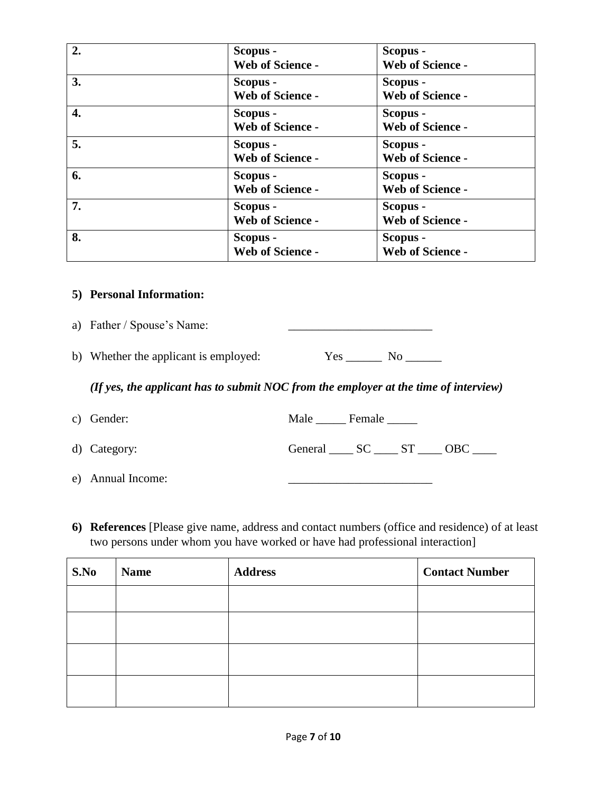| 2. | Scopus -<br>Web of Science -        | Scopus -<br>Web of Science -        |
|----|-------------------------------------|-------------------------------------|
| 3. | Scopus -<br><b>Web of Science -</b> | Scopus -<br><b>Web of Science -</b> |
| 4. | Scopus -<br><b>Web of Science -</b> | Scopus -<br><b>Web of Science -</b> |
| 5. | Scopus -<br><b>Web of Science -</b> | Scopus -<br><b>Web of Science -</b> |
| 6. | Scopus -<br><b>Web of Science -</b> | Scopus -<br>Web of Science -        |
| 7. | Scopus -<br><b>Web of Science -</b> | Scopus -<br><b>Web of Science -</b> |
| 8. | Scopus -<br><b>Web of Science -</b> | Scopus -<br><b>Web of Science -</b> |

#### **5) Personal Information:**

a) Father / Spouse's Name:

b) Whether the applicant is employed: Yes \_\_\_\_\_\_ No \_\_\_\_\_\_

*(If yes, the applicant has to submit NOC from the employer at the time of interview)*

| c) Gender:   | Male Female       |  |  |
|--------------|-------------------|--|--|
| d) Category: | General SC ST OBC |  |  |

- e) Annual Income:
- **6) References** [Please give name, address and contact numbers (office and residence) of at least two persons under whom you have worked or have had professional interaction]

| S.No | <b>Name</b> | <b>Address</b> | <b>Contact Number</b> |
|------|-------------|----------------|-----------------------|
|      |             |                |                       |
|      |             |                |                       |
|      |             |                |                       |
|      |             |                |                       |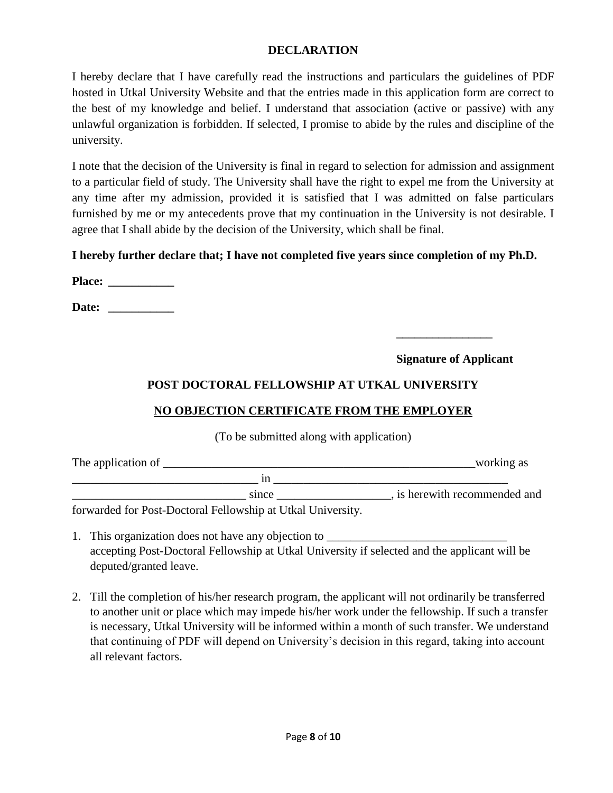# **DECLARATION**

I hereby declare that I have carefully read the instructions and particulars the guidelines of PDF hosted in Utkal University Website and that the entries made in this application form are correct to the best of my knowledge and belief. I understand that association (active or passive) with any unlawful organization is forbidden. If selected, I promise to abide by the rules and discipline of the university.

I note that the decision of the University is final in regard to selection for admission and assignment to a particular field of study. The University shall have the right to expel me from the University at any time after my admission, provided it is satisfied that I was admitted on false particulars furnished by me or my antecedents prove that my continuation in the University is not desirable. I agree that I shall abide by the decision of the University, which shall be final.

# **I hereby further declare that; I have not completed five years since completion of my Ph.D.**

**Place: \_\_\_\_\_\_\_\_\_\_\_**

**Date: \_\_\_\_\_\_\_\_\_\_\_**

**Signature of Applicant**

**\_\_\_\_\_\_\_\_\_\_\_\_\_\_\_\_**

# **POST DOCTORAL FELLOWSHIP AT UTKAL UNIVERSITY**

# **NO OBJECTION CERTIFICATE FROM THE EMPLOYER**

(To be submitted along with application)

| The application of                                           |       | working as                    |
|--------------------------------------------------------------|-------|-------------------------------|
|                                                              |       |                               |
|                                                              | since | , is herewith recommended and |
| forwarded for Doct Doctorel Eellevyship of Helzel University |       |                               |

forwarded for Post-Doctoral Fellowship at Utkal University.

- 1. This organization does not have any objection to accepting Post-Doctoral Fellowship at Utkal University if selected and the applicant will be deputed/granted leave.
- 2. Till the completion of his/her research program, the applicant will not ordinarily be transferred to another unit or place which may impede his/her work under the fellowship. If such a transfer is necessary, Utkal University will be informed within a month of such transfer. We understand that continuing of PDF will depend on University's decision in this regard, taking into account all relevant factors.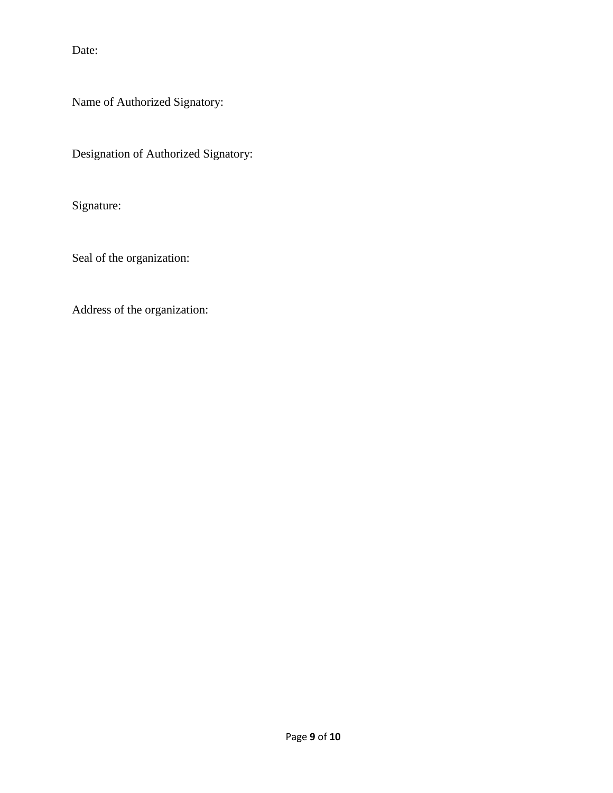Date:

Name of Authorized Signatory:

Designation of Authorized Signatory:

Signature:

Seal of the organization:

Address of the organization: